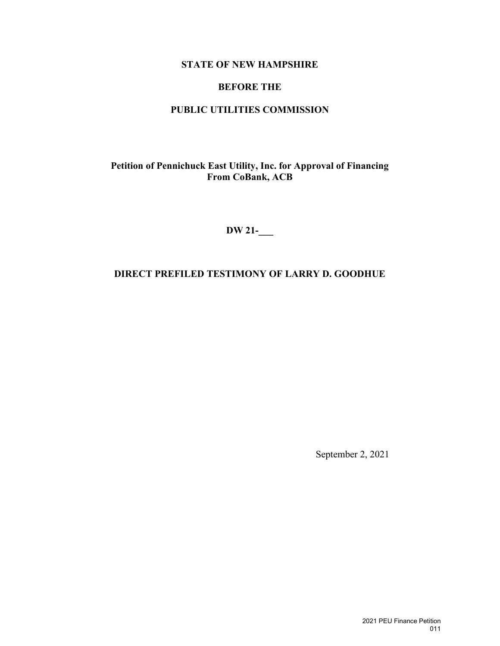## **STATE OF NEW HAMPSHIRE**

### **BEFORE THE**

### **PUBLIC UTILITIES COMMISSION**

**Petition of Pennichuck East Utility, Inc. for Approval of Financing From CoBank, ACB**

**DW 21-\_\_\_**

## **DIRECT PREFILED TESTIMONY OF LARRY D. GOODHUE**

September 2, 2021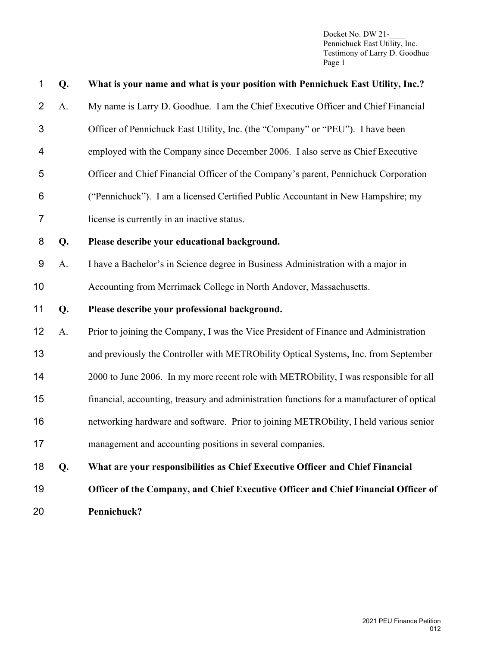| 1              | Q. | What is your name and what is your position with Pennichuck East Utility, Inc.?            |
|----------------|----|--------------------------------------------------------------------------------------------|
| $\overline{2}$ | A. | My name is Larry D. Goodhue. I am the Chief Executive Officer and Chief Financial          |
| 3              |    | Officer of Pennichuck East Utility, Inc. (the "Company" or "PEU"). I have been             |
| 4              |    | employed with the Company since December 2006. I also serve as Chief Executive             |
| 5              |    | Officer and Chief Financial Officer of the Company's parent, Pennichuck Corporation        |
| 6              |    | ("Pennichuck"). I am a licensed Certified Public Accountant in New Hampshire; my           |
| 7              |    | license is currently in an inactive status.                                                |
| 8              | Q. | Please describe your educational background.                                               |
| 9              | A. | I have a Bachelor's in Science degree in Business Administration with a major in           |
| 10             |    | Accounting from Merrimack College in North Andover, Massachusetts.                         |
| 11             | Q. | Please describe your professional background.                                              |
| 12             | A. | Prior to joining the Company, I was the Vice President of Finance and Administration       |
| 13             |    | and previously the Controller with METRObility Optical Systems, Inc. from September        |
| 14             |    | 2000 to June 2006. In my more recent role with METRObility, I was responsible for all      |
| 15             |    | financial, accounting, treasury and administration functions for a manufacturer of optical |
| 16             |    | networking hardware and software. Prior to joining METRObility, I held various senior      |
| 17             |    | management and accounting positions in several companies.                                  |
| 18             | Q. | What are your responsibilities as Chief Executive Officer and Chief Financial              |
| 19             |    | Officer of the Company, and Chief Executive Officer and Chief Financial Officer of         |
| 20             |    | Pennichuck?                                                                                |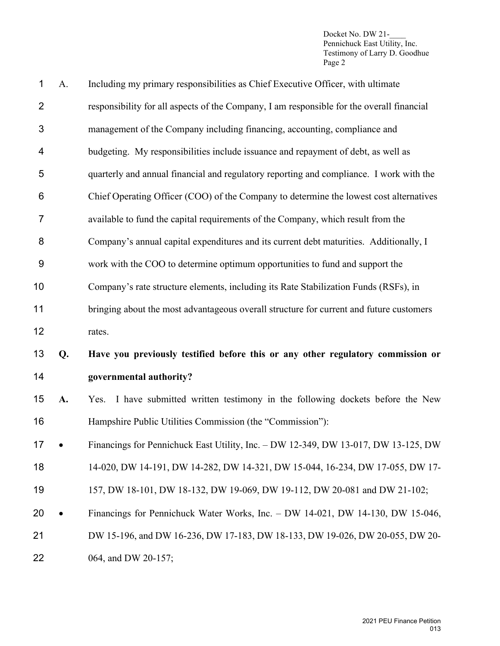|    | Including my primary responsibilities as Chief Executive Officer, with ultimate           |
|----|-------------------------------------------------------------------------------------------|
|    | responsibility for all aspects of the Company, I am responsible for the overall financial |
|    | management of the Company including financing, accounting, compliance and                 |
|    | budgeting. My responsibilities include issuance and repayment of debt, as well as         |
|    | quarterly and annual financial and regulatory reporting and compliance. I work with the   |
|    | Chief Operating Officer (COO) of the Company to determine the lowest cost alternatives    |
|    | available to fund the capital requirements of the Company, which result from the          |
|    | Company's annual capital expenditures and its current debt maturities. Additionally, I    |
|    | work with the COO to determine optimum opportunities to fund and support the              |
|    | Company's rate structure elements, including its Rate Stabilization Funds (RSFs), in      |
|    | bringing about the most advantageous overall structure for current and future customers   |
|    | rates.                                                                                    |
| Q. | Have you previously testified before this or any other regulatory commission or           |
|    | governmental authority?                                                                   |
| A. | Yes. I have submitted written testimony in the following dockets before the New           |
|    |                                                                                           |
|    | Hampshire Public Utilities Commission (the "Commission"):                                 |
|    | Financings for Pennichuck East Utility, Inc. - DW 12-349, DW 13-017, DW 13-125, DW        |
|    | 14-020, DW 14-191, DW 14-282, DW 14-321, DW 15-044, 16-234, DW 17-055, DW 17-             |
|    | 157, DW 18-101, DW 18-132, DW 19-069, DW 19-112, DW 20-081 and DW 21-102;                 |
|    | Financings for Pennichuck Water Works, Inc. - DW 14-021, DW 14-130, DW 15-046,            |
|    | DW 15-196, and DW 16-236, DW 17-183, DW 18-133, DW 19-026, DW 20-055, DW 20-              |
|    | A.                                                                                        |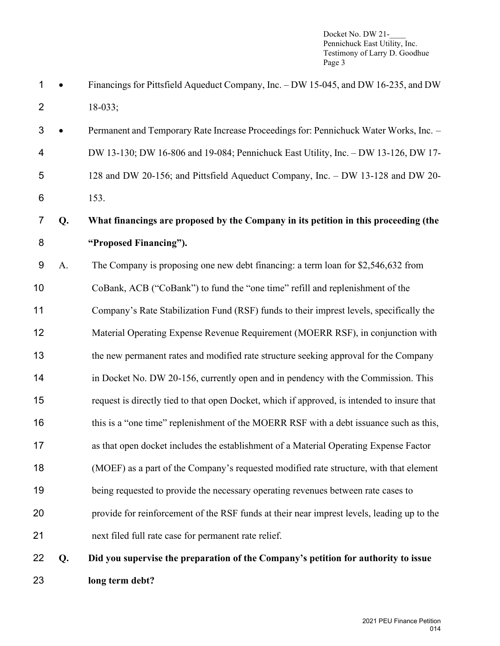- 1 Financings for Pittsfield Aqueduct Company, Inc. DW 15-045, and DW 16-235, and DW 18-033;
- Permanent and Temporary Rate Increase Proceedings for: Pennichuck Water Works, Inc. DW 13-130; DW 16-806 and 19-084; Pennichuck East Utility, Inc. – DW 13-126, DW 17- 128 and DW 20-156; and Pittsfield Aqueduct Company, Inc. – DW 13-128 and DW 20-

153.

# **Q. What financings are proposed by the Company in its petition in this proceeding (the "Proposed Financing").**

A. The Company is proposing one new debt financing: a term loan for \$2,546,632 from

CoBank, ACB ("CoBank") to fund the "one time" refill and replenishment of the

Company's Rate Stabilization Fund (RSF) funds to their imprest levels, specifically the

Material Operating Expense Revenue Requirement (MOERR RSF), in conjunction with

the new permanent rates and modified rate structure seeking approval for the Company

- 14 in Docket No. DW 20-156, currently open and in pendency with the Commission. This
- request is directly tied to that open Docket, which if approved, is intended to insure that
- 16 this is a "one time" replenishment of the MOERR RSF with a debt issuance such as this,
- as that open docket includes the establishment of a Material Operating Expense Factor
- (MOEF) as a part of the Company's requested modified rate structure, with that element
- being requested to provide the necessary operating revenues between rate cases to
- provide for reinforcement of the RSF funds at their near imprest levels, leading up to the

next filed full rate case for permanent rate relief.

 **Q. Did you supervise the preparation of the Company's petition for authority to issue long term debt?**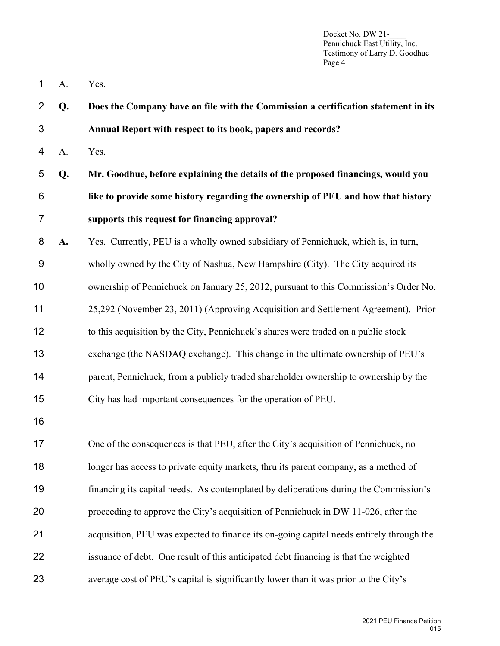- A. Yes.
- **Q. Does the Company have on file with the Commission a certification statement in its Annual Report with respect to its book, papers and records?** A. Yes. **Q. Mr. Goodhue, before explaining the details of the proposed financings, would you like to provide some history regarding the ownership of PEU and how that history supports this request for financing approval? A.** Yes. Currently, PEU is a wholly owned subsidiary of Pennichuck, which is, in turn, wholly owned by the City of Nashua, New Hampshire (City). The City acquired its ownership of Pennichuck on January 25, 2012, pursuant to this Commission's Order No. 25,292 (November 23, 2011) (Approving Acquisition and Settlement Agreement). Prior
- to this acquisition by the City, Pennichuck's shares were traded on a public stock
- exchange (the NASDAQ exchange). This change in the ultimate ownership of PEU's
- 14 parent, Pennichuck, from a publicly traded shareholder ownership to ownership by the
- City has had important consequences for the operation of PEU.
- 

 One of the consequences is that PEU, after the City's acquisition of Pennichuck, no longer has access to private equity markets, thru its parent company, as a method of financing its capital needs. As contemplated by deliberations during the Commission's proceeding to approve the City's acquisition of Pennichuck in DW 11-026, after the acquisition, PEU was expected to finance its on-going capital needs entirely through the issuance of debt. One result of this anticipated debt financing is that the weighted average cost of PEU's capital is significantly lower than it was prior to the City's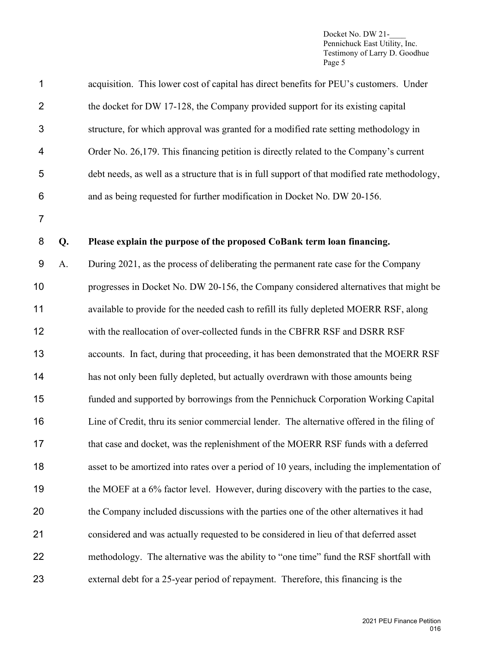| $\overline{2}$ |    | the docket for DW 17-128, the Company provided support for its existing capital               |
|----------------|----|-----------------------------------------------------------------------------------------------|
| 3              |    | structure, for which approval was granted for a modified rate setting methodology in          |
| 4              |    | Order No. 26,179. This financing petition is directly related to the Company's current        |
| 5              |    | debt needs, as well as a structure that is in full support of that modified rate methodology, |
| 6              |    | and as being requested for further modification in Docket No. DW 20-156.                      |
| $\overline{7}$ |    |                                                                                               |
| 8              | Q. | Please explain the purpose of the proposed CoBank term loan financing.                        |
| $9\,$          | A. | During 2021, as the process of deliberating the permanent rate case for the Company           |
| 10             |    | progresses in Docket No. DW 20-156, the Company considered alternatives that might be         |
| 11             |    | available to provide for the needed cash to refill its fully depleted MOERR RSF, along        |
| 12             |    | with the reallocation of over-collected funds in the CBFRR RSF and DSRR RSF                   |
| 13             |    | accounts. In fact, during that proceeding, it has been demonstrated that the MOERR RSF        |
| 14             |    | has not only been fully depleted, but actually overdrawn with those amounts being             |
| 15             |    | funded and supported by borrowings from the Pennichuck Corporation Working Capital            |
| 16             |    | Line of Credit, thru its senior commercial lender. The alternative offered in the filing of   |
| 17             |    | that case and docket, was the replenishment of the MOERR RSF funds with a deferred            |
| 18             |    | asset to be amortized into rates over a period of 10 years, including the implementation of   |
| 19             |    | the MOEF at a 6% factor level. However, during discovery with the parties to the case,        |
| 20             |    | the Company included discussions with the parties one of the other alternatives it had        |
| 21             |    | considered and was actually requested to be considered in lieu of that deferred asset         |
| 22             |    | methodology. The alternative was the ability to "one time" fund the RSF shortfall with        |
| 23             |    | external debt for a 25-year period of repayment. Therefore, this financing is the             |
|                |    |                                                                                               |

acquisition. This lower cost of capital has direct benefits for PEU's customers. Under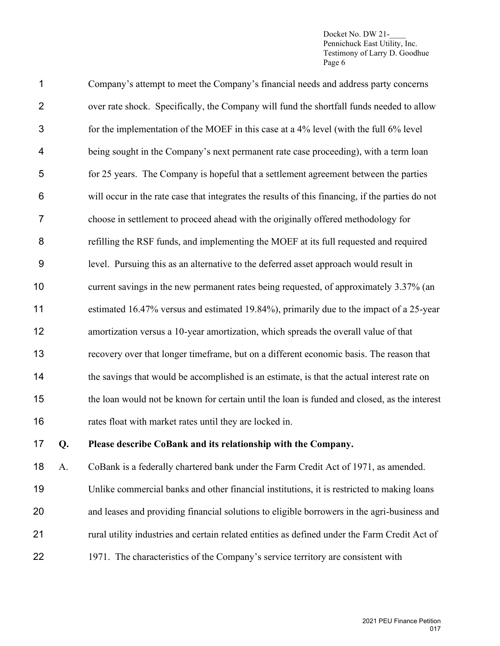| 17             | Q. | Please describe CoBank and its relationship with the Company.                                    |
|----------------|----|--------------------------------------------------------------------------------------------------|
| 16             |    | rates float with market rates until they are locked in.                                          |
| 15             |    | the loan would not be known for certain until the loan is funded and closed, as the interest     |
| 14             |    | the savings that would be accomplished is an estimate, is that the actual interest rate on       |
| 13             |    | recovery over that longer timeframe, but on a different economic basis. The reason that          |
| 12             |    | amortization versus a 10-year amortization, which spreads the overall value of that              |
| 11             |    | estimated 16.47% versus and estimated 19.84%), primarily due to the impact of a 25-year          |
| 10             |    | current savings in the new permanent rates being requested, of approximately 3.37% (an           |
| 9              |    | level. Pursuing this as an alternative to the deferred asset approach would result in            |
| 8              |    | refilling the RSF funds, and implementing the MOEF at its full requested and required            |
| $\overline{7}$ |    | choose in settlement to proceed ahead with the originally offered methodology for                |
| 6              |    | will occur in the rate case that integrates the results of this financing, if the parties do not |
| 5              |    | for 25 years. The Company is hopeful that a settlement agreement between the parties             |
| 4              |    | being sought in the Company's next permanent rate case proceeding), with a term loan             |
| 3              |    | for the implementation of the MOEF in this case at a 4% level (with the full 6% level            |
| $\overline{2}$ |    | over rate shock. Specifically, the Company will fund the shortfall funds needed to allow         |
| 1              |    | Company's attempt to meet the Company's financial needs and address party concerns               |

A. CoBank is a federally chartered bank under the Farm Credit Act of 1971, as amended.

- Unlike commercial banks and other financial institutions, it is restricted to making loans and leases and providing financial solutions to eligible borrowers in the agri-business and rural utility industries and certain related entities as defined under the Farm Credit Act of
- 1971. The characteristics of the Company's service territory are consistent with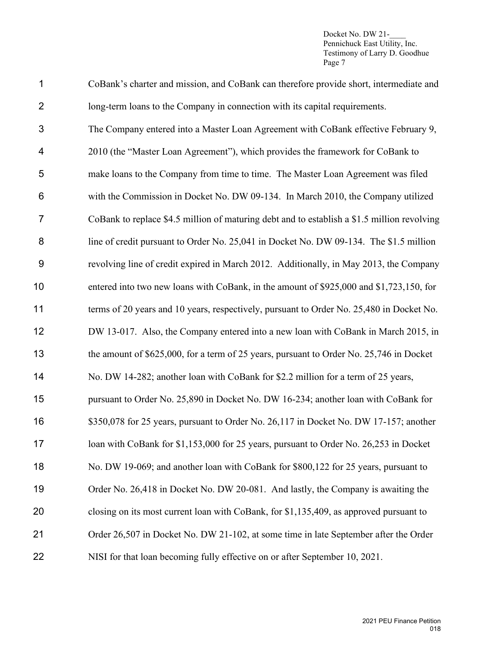| 1              | CoBank's charter and mission, and CoBank can therefore provide short, intermediate and      |
|----------------|---------------------------------------------------------------------------------------------|
| $\overline{2}$ | long-term loans to the Company in connection with its capital requirements.                 |
| $\mathfrak{S}$ | The Company entered into a Master Loan Agreement with CoBank effective February 9,          |
| 4              | 2010 (the "Master Loan Agreement"), which provides the framework for CoBank to              |
| 5              | make loans to the Company from time to time. The Master Loan Agreement was filed            |
| $\,6$          | with the Commission in Docket No. DW 09-134. In March 2010, the Company utilized            |
| $\overline{7}$ | CoBank to replace \$4.5 million of maturing debt and to establish a \$1.5 million revolving |
| 8              | line of credit pursuant to Order No. 25,041 in Docket No. DW 09-134. The \$1.5 million      |
| $9\,$          | revolving line of credit expired in March 2012. Additionally, in May 2013, the Company      |
| 10             | entered into two new loans with CoBank, in the amount of \$925,000 and \$1,723,150, for     |
| 11             | terms of 20 years and 10 years, respectively, pursuant to Order No. 25,480 in Docket No.    |
| 12             | DW 13-017. Also, the Company entered into a new loan with CoBank in March 2015, in          |
| 13             | the amount of \$625,000, for a term of 25 years, pursuant to Order No. 25,746 in Docket     |
| 14             | No. DW 14-282; another loan with CoBank for \$2.2 million for a term of 25 years,           |
| 15             | pursuant to Order No. 25,890 in Docket No. DW 16-234; another loan with CoBank for          |
| 16             | \$350,078 for 25 years, pursuant to Order No. 26,117 in Docket No. DW 17-157; another       |
| 17             | loan with CoBank for \$1,153,000 for 25 years, pursuant to Order No. 26,253 in Docket       |
| 18             | No. DW 19-069; and another loan with CoBank for \$800,122 for 25 years, pursuant to         |
| 19             | Order No. 26,418 in Docket No. DW 20-081. And lastly, the Company is awaiting the           |
| 20             | closing on its most current loan with CoBank, for \$1,135,409, as approved pursuant to      |
| 21             | Order 26,507 in Docket No. DW 21-102, at some time in late September after the Order        |
| 22             | NISI for that loan becoming fully effective on or after September 10, 2021.                 |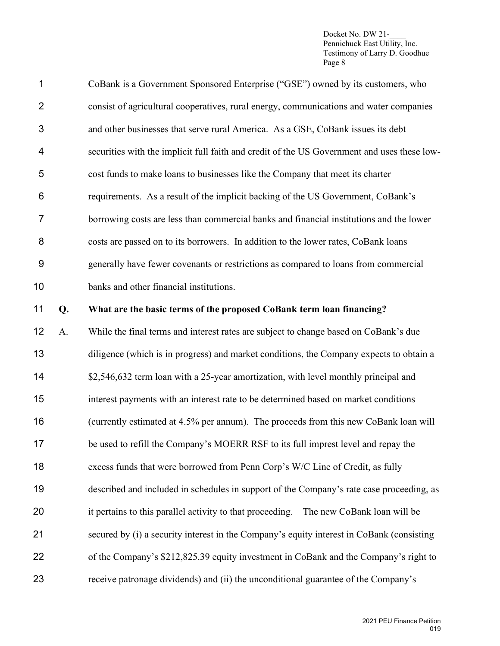| $\mathbf 1$    |    | CoBank is a Government Sponsored Enterprise ("GSE") owned by its customers, who             |
|----------------|----|---------------------------------------------------------------------------------------------|
| $\overline{2}$ |    | consist of agricultural cooperatives, rural energy, communications and water companies      |
| 3              |    | and other businesses that serve rural America. As a GSE, CoBank issues its debt             |
| 4              |    | securities with the implicit full faith and credit of the US Government and uses these low- |
| 5              |    | cost funds to make loans to businesses like the Company that meet its charter               |
| 6              |    | requirements. As a result of the implicit backing of the US Government, CoBank's            |
| 7              |    | borrowing costs are less than commercial banks and financial institutions and the lower     |
| 8              |    | costs are passed on to its borrowers. In addition to the lower rates, CoBank loans          |
| 9              |    | generally have fewer covenants or restrictions as compared to loans from commercial         |
| 10             |    | banks and other financial institutions.                                                     |
| 11             | Q. | What are the basic terms of the proposed CoBank term loan financing?                        |
| 12             | A. | While the final terms and interest rates are subject to change based on CoBank's due        |
| 13             |    | diligence (which is in progress) and market conditions, the Company expects to obtain a     |
| 14             |    | \$2,546,632 term loan with a 25-year amortization, with level monthly principal and         |
| 15             |    | interest payments with an interest rate to be determined based on market conditions         |
| 16             |    | (currently estimated at 4.5% per annum). The proceeds from this new CoBank loan will        |
| 17             |    | be used to refill the Company's MOERR RSF to its full imprest level and repay the           |
| 18             |    | excess funds that were borrowed from Penn Corp's W/C Line of Credit, as fully               |
| 19             |    | described and included in schedules in support of the Company's rate case proceeding, as    |
| 20             |    | it pertains to this parallel activity to that proceeding.<br>The new CoBank loan will be    |
| 21             |    | secured by (i) a security interest in the Company's equity interest in CoBank (consisting   |
| 22             |    | of the Company's \$212,825.39 equity investment in CoBank and the Company's right to        |
| 23             |    | receive patronage dividends) and (ii) the unconditional guarantee of the Company's          |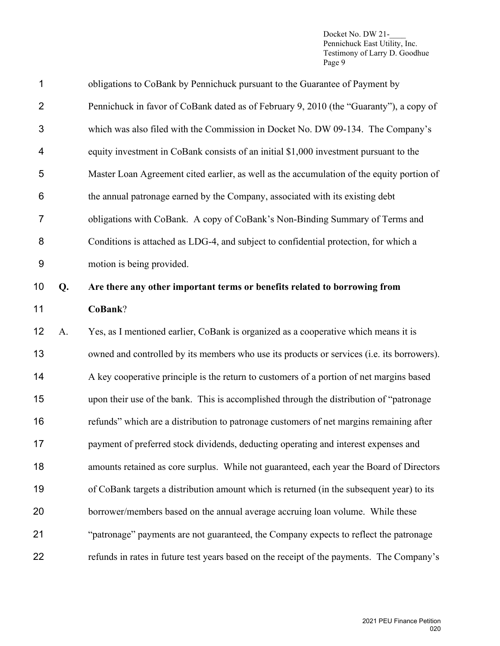| 1              |    | obligations to CoBank by Pennichuck pursuant to the Guarantee of Payment by                |
|----------------|----|--------------------------------------------------------------------------------------------|
| $\overline{2}$ |    | Pennichuck in favor of CoBank dated as of February 9, 2010 (the "Guaranty"), a copy of     |
| 3              |    | which was also filed with the Commission in Docket No. DW 09-134. The Company's            |
| 4              |    | equity investment in CoBank consists of an initial \$1,000 investment pursuant to the      |
| 5              |    | Master Loan Agreement cited earlier, as well as the accumulation of the equity portion of  |
| 6              |    | the annual patronage earned by the Company, associated with its existing debt              |
| $\overline{7}$ |    | obligations with CoBank. A copy of CoBank's Non-Binding Summary of Terms and               |
| 8              |    | Conditions is attached as LDG-4, and subject to confidential protection, for which a       |
| $9\,$          |    | motion is being provided.                                                                  |
| 10             | Q. | Are there any other important terms or benefits related to borrowing from                  |
| 11             |    | CoBank?                                                                                    |
| 12             | A. | Yes, as I mentioned earlier, CoBank is organized as a cooperative which means it is        |
| 13             |    | owned and controlled by its members who use its products or services (i.e. its borrowers). |
| 14             |    | A key cooperative principle is the return to customers of a portion of net margins based   |
| 15             |    | upon their use of the bank. This is accomplished through the distribution of "patronage    |
| 16             |    | refunds" which are a distribution to patronage customers of net margins remaining after    |
| 17             |    | payment of preferred stock dividends, deducting operating and interest expenses and        |
| 18             |    | amounts retained as core surplus. While not guaranteed, each year the Board of Directors   |
| 19             |    | of CoBank targets a distribution amount which is returned (in the subsequent year) to its  |
| 20             |    | borrower/members based on the annual average accruing loan volume. While these             |
| 21             |    | "patronage" payments are not guaranteed, the Company expects to reflect the patronage      |
|                |    |                                                                                            |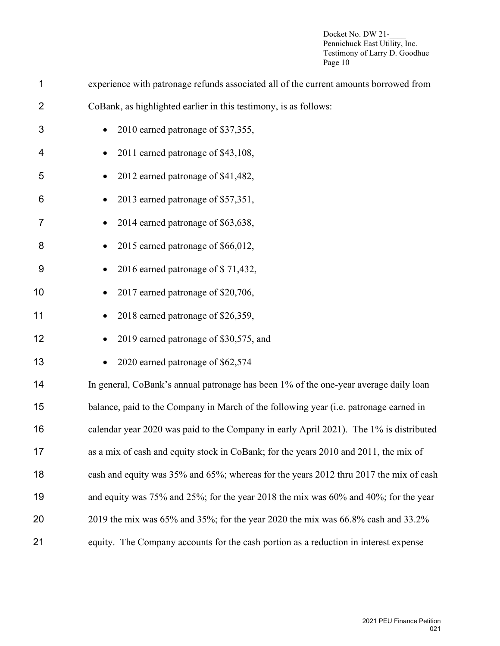| 1              | experience with patronage refunds associated all of the current amounts borrowed from             |
|----------------|---------------------------------------------------------------------------------------------------|
| $\overline{2}$ | CoBank, as highlighted earlier in this testimony, is as follows:                                  |
| 3              | 2010 earned patronage of \$37,355,                                                                |
| 4              | 2011 earned patronage of \$43,108,                                                                |
| 5              | 2012 earned patronage of \$41,482,                                                                |
| 6              | 2013 earned patronage of \$57,351,                                                                |
| 7              | 2014 earned patronage of \$63,638,                                                                |
| 8              | 2015 earned patronage of \$66,012,                                                                |
| 9              | 2016 earned patronage of \$71,432,                                                                |
| 10             | 2017 earned patronage of \$20,706,                                                                |
| 11             | 2018 earned patronage of \$26,359,                                                                |
| 12             | 2019 earned patronage of \$30,575, and                                                            |
| 13             | 2020 earned patronage of \$62,574                                                                 |
| 14             | In general, CoBank's annual patronage has been 1% of the one-year average daily loan              |
| 15             | balance, paid to the Company in March of the following year (i.e. patronage earned in             |
| 16             | calendar year 2020 was paid to the Company in early April 2021). The 1% is distributed            |
| 17             | as a mix of cash and equity stock in CoBank; for the years 2010 and 2011, the mix of              |
| 18             | cash and equity was 35% and 65%; whereas for the years 2012 thru 2017 the mix of cash             |
| 19             | and equity was $75\%$ and $25\%$ ; for the year 2018 the mix was $60\%$ and $40\%$ ; for the year |
| 20             | 2019 the mix was 65% and 35%; for the year 2020 the mix was 66.8% cash and 33.2%                  |
| 21             | equity. The Company accounts for the cash portion as a reduction in interest expense              |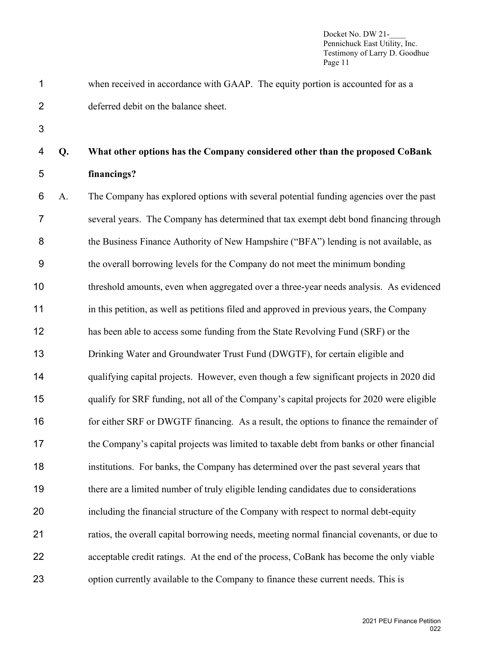when received in accordance with GAAP. The equity portion is accounted for as a deferred debit on the balance sheet.

# **Q. What other options has the Company considered other than the proposed CoBank financings?**

 A. The Company has explored options with several potential funding agencies over the past several years. The Company has determined that tax exempt debt bond financing through 8 the Business Finance Authority of New Hampshire ("BFA") lending is not available, as the overall borrowing levels for the Company do not meet the minimum bonding threshold amounts, even when aggregated over a three-year needs analysis. As evidenced in this petition, as well as petitions filed and approved in previous years, the Company has been able to access some funding from the State Revolving Fund (SRF) or the Drinking Water and Groundwater Trust Fund (DWGTF), for certain eligible and qualifying capital projects. However, even though a few significant projects in 2020 did 15 qualify for SRF funding, not all of the Company's capital projects for 2020 were eligible 16 for either SRF or DWGTF financing. As a result, the options to finance the remainder of the Company's capital projects was limited to taxable debt from banks or other financial institutions. For banks, the Company has determined over the past several years that there are a limited number of truly eligible lending candidates due to considerations including the financial structure of the Company with respect to normal debt-equity ratios, the overall capital borrowing needs, meeting normal financial covenants, or due to acceptable credit ratings. At the end of the process, CoBank has become the only viable option currently available to the Company to finance these current needs. This is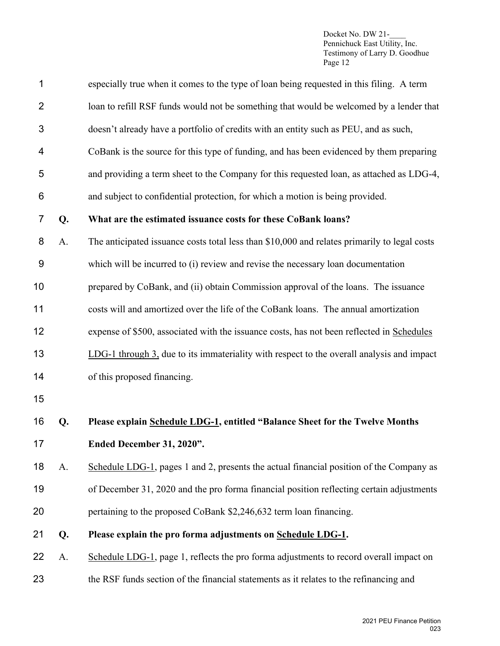| 1              |    | especially true when it comes to the type of loan being requested in this filing. A term     |
|----------------|----|----------------------------------------------------------------------------------------------|
| $\overline{2}$ |    | loan to refill RSF funds would not be something that would be welcomed by a lender that      |
| 3              |    | doesn't already have a portfolio of credits with an entity such as PEU, and as such,         |
| 4              |    | CoBank is the source for this type of funding, and has been evidenced by them preparing      |
| 5              |    | and providing a term sheet to the Company for this requested loan, as attached as LDG-4,     |
| 6              |    | and subject to confidential protection, for which a motion is being provided.                |
| $\overline{7}$ | Q. | What are the estimated issuance costs for these CoBank loans?                                |
| 8              | A. | The anticipated issuance costs total less than \$10,000 and relates primarily to legal costs |
| $9\,$          |    | which will be incurred to (i) review and revise the necessary loan documentation             |
| 10             |    | prepared by CoBank, and (ii) obtain Commission approval of the loans. The issuance           |
| 11             |    | costs will and amortized over the life of the CoBank loans. The annual amortization          |
| 12             |    | expense of \$500, associated with the issuance costs, has not been reflected in Schedules    |
| 13             |    | LDG-1 through 3, due to its immateriality with respect to the overall analysis and impact    |
| 14             |    | of this proposed financing.                                                                  |
| 15             |    |                                                                                              |
| 16             | Q. | Please explain Schedule LDG-1, entitled "Balance Sheet for the Twelve Months                 |
| 17             |    | Ended December 31, 2020".                                                                    |
| 18             | A. | Schedule LDG-1, pages 1 and 2, presents the actual financial position of the Company as      |
| 19             |    | of December 31, 2020 and the pro forma financial position reflecting certain adjustments     |
| 20             |    | pertaining to the proposed CoBank \$2,246,632 term loan financing.                           |
| 21             | Q. | Please explain the pro forma adjustments on Schedule LDG-1.                                  |
| 22             | A. | Schedule LDG-1, page 1, reflects the pro forma adjustments to record overall impact on       |
| 23             |    | the RSF funds section of the financial statements as it relates to the refinancing and       |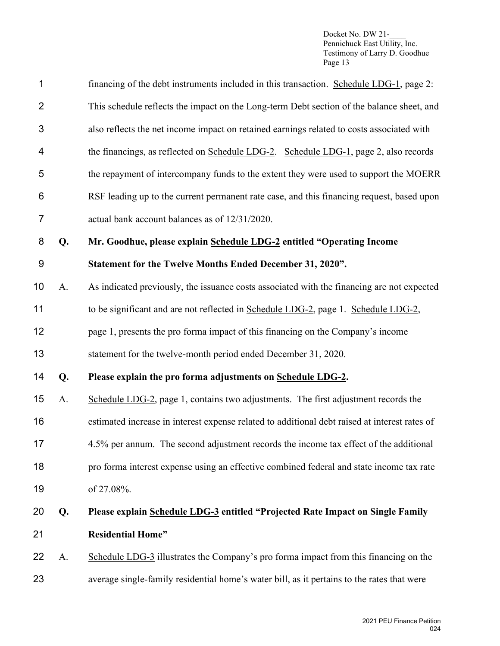| 1              |    | financing of the debt instruments included in this transaction. Schedule LDG-1, page 2:       |
|----------------|----|-----------------------------------------------------------------------------------------------|
| $\overline{2}$ |    | This schedule reflects the impact on the Long-term Debt section of the balance sheet, and     |
| 3              |    | also reflects the net income impact on retained earnings related to costs associated with     |
| 4              |    | the financings, as reflected on Schedule LDG-2. Schedule LDG-1, page 2, also records          |
| 5              |    | the repayment of intercompany funds to the extent they were used to support the MOERR         |
| 6              |    | RSF leading up to the current permanent rate case, and this financing request, based upon     |
| $\overline{7}$ |    | actual bank account balances as of 12/31/2020.                                                |
| 8              | Q. | Mr. Goodhue, please explain Schedule LDG-2 entitled "Operating Income                         |
| $9\,$          |    | Statement for the Twelve Months Ended December 31, 2020".                                     |
| 10             | A. | As indicated previously, the issuance costs associated with the financing are not expected    |
| 11             |    | to be significant and are not reflected in Schedule LDG-2, page 1. Schedule LDG-2,            |
| 12             |    | page 1, presents the pro forma impact of this financing on the Company's income               |
| 13             |    | statement for the twelve-month period ended December 31, 2020.                                |
| 14             | Q. | Please explain the pro forma adjustments on Schedule LDG-2.                                   |
| 15             | A. | Schedule LDG-2, page 1, contains two adjustments. The first adjustment records the            |
| 16             |    | estimated increase in interest expense related to additional debt raised at interest rates of |
| 17             |    | 4.5% per annum. The second adjustment records the income tax effect of the additional         |
| 18             |    | pro forma interest expense using an effective combined federal and state income tax rate      |
| 19             |    | of 27.08%.                                                                                    |
| 20             | Q. | Please explain Schedule LDG-3 entitled "Projected Rate Impact on Single Family                |
| 21             |    | <b>Residential Home"</b>                                                                      |
| 22             | A. | Schedule LDG-3 illustrates the Company's pro forma impact from this financing on the          |
| 23             |    | average single-family residential home's water bill, as it pertains to the rates that were    |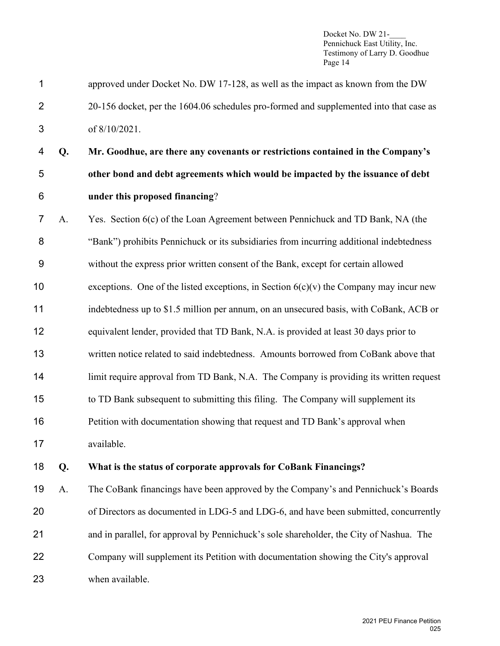- approved under Docket No. DW 17-128, as well as the impact as known from the DW 20-156 docket, per the 1604.06 schedules pro-formed and supplemented into that case as of 8/10/2021.
- **Q. Mr. Goodhue, are there any covenants or restrictions contained in the Company's other bond and debt agreements which would be impacted by the issuance of debt under this proposed financing**?
- A. Yes. Section 6(c) of the Loan Agreement between Pennichuck and TD Bank, NA (the "Bank") prohibits Pennichuck or its subsidiaries from incurring additional indebtedness without the express prior written consent of the Bank, except for certain allowed 10 exceptions. One of the listed exceptions, in Section  $6(c)(v)$  the Company may incur new indebtedness up to \$1.5 million per annum, on an unsecured basis, with CoBank, ACB or equivalent lender, provided that TD Bank, N.A. is provided at least 30 days prior to written notice related to said indebtedness. Amounts borrowed from CoBank above that 14 limit require approval from TD Bank, N.A. The Company is providing its written request to TD Bank subsequent to submitting this filing. The Company will supplement its Petition with documentation showing that request and TD Bank's approval when available.
- **Q. What is the status of corporate approvals for CoBank Financings?**

 A. The CoBank financings have been approved by the Company's and Pennichuck's Boards of Directors as documented in LDG-5 and LDG-6, and have been submitted, concurrently and in parallel, for approval by Pennichuck's sole shareholder, the City of Nashua. The Company will supplement its Petition with documentation showing the City's approval when available.